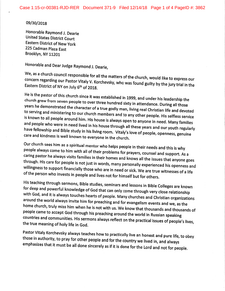## 09/30/2018

Honorable Raymond J. Dearie United States District Court Eastern District of New york 225 Cadman plaza East Brooklyn, Ny 1120j.

Honorable and Dear Judge Raymond J. Dearie,

We, as a church council responsible concern concern regarding our Pastor Vitaly V. Korchevsky, who was found guilty by the jury trial in the<br>Eastern District of NY on July 6<sup>th</sup> of 2018.

He is the pastor of this church since it was established in 1999, and under his leadership the endren grew from seven people to over three hundred sixty in attendance. During all those<br>years he demonstrated the character of a twy with the with the demonstrated those to serving years he demonstrated the character of a true godly man, living real Christian life and devoted is is known to all people around him. His house is always open to anyone in need. Many families and people who were in need lived in his house through all these years and our youth regularly have fellowship and Bible study in his living room. Vitaly's love of people, openness, genuine<br>care and kindness is well known to evervone in the church.

Our church sees him as a spiritual mentor who helps people in their needs and this is why<br>people always come to him with all of their problems for prayers, counsel and support. As a<br>caring pastor he always visits families willingness ain waght rins care for people is not just in words, many personally experienced his openness and willingness to support financially those who are in need or sick. We are true witnesses of a life of the person who invests

His teaching through sermons, Bible studies, seminars and lessons in Bible Colleges are known<br>for deep and powerful knowledge of God that can only come through very close relationship<br>with God, and it is always touches hea people came to accept God through his preaching around the world in Russian speaking countries and communities. His sermons always reflect on the practical issues of people's lives, the true meaning of holy life in God.

Pastor Vitaly Korchevsky always teaches how to practically live an honest and pure life, to obey<br>those in authority, to pray for other people and for the country we lived in, and always<br>emphasizes that it must be all done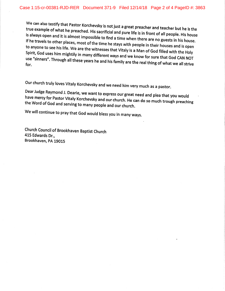We can also testify that Pastor Korchevsky is not just a great preacher and teacher but he is the<br>true example of what he preached. His sacrificial and pure life is in front of all people. His house is always open the example of what he preached. His sacrificial and pure life is in front of all people. His house<br>is always open and it is almost impossible to find a time when there are no guests in his house.<br>If he travels to other pl If he travels to other places, most of the time he stays with people in their houses and is open<br>to anyone to see his life. We are the witnesses that Vitaly is a Man of God filled with the Holy Spirit, God uses him mightily in many different ways and we know for sure that God CAN NOT use "sinners". Through all these years he and his family are the real thing of what we all strive

Our church truly loves Vitaly Korchevsky and we need him very much as a pastor.<br>Dear Judge Raymond J. Dearie, we want to express our great need and plea that you would have mercy for Pastor Vitaly Korchevsky and our church. He can do so much trough preaching<br>the Word of God and serving to many people and our church.

We will continue to pray that God would bless you in many ways.

Church Council of Brookhaven Baptist Church 415 Edwards Dr., Brookhaven, pA 19015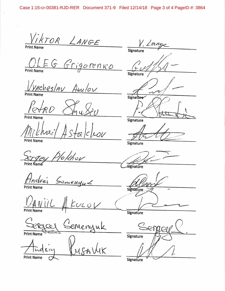VIKTOR LANGE  $V. Longe$ OLEG Grigorenko Signature <u>Vyacheslav Aurlor</u> Signatur ETRD Signature Mikhail Astalcleon **Print Name** Signature Sergey Plokhov Signature Andréi Samenguk Signature  $\frac{1}{2}$   $\frac{1}{2}$   $\frac{1}{2}$  $k$ ULOV Signature <u>Sergeel Gemenyuk</u> Signature LUSAVUK **Print Name** 

Signature